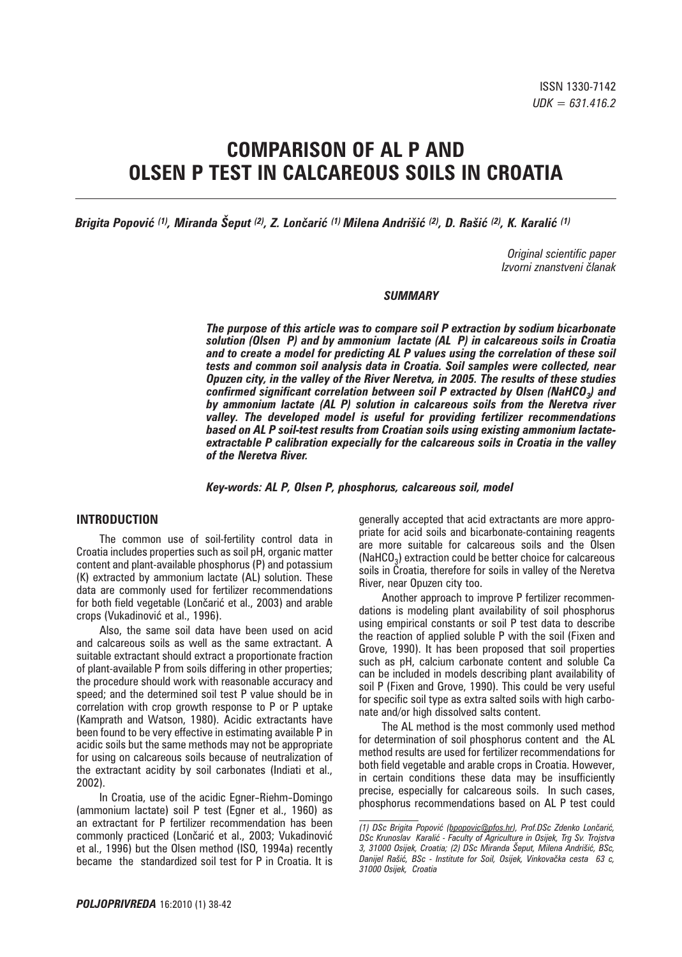# **COMPARISON OF AL P AND OLSEN P TEST IN CALCAREOUS SOILS IN CROATIA**

*Brigita Popović (1), Miranda Šeput (2), Z. Lončarić (1) Milena Andrišić (2), D. Rašić (2), K. Karalić (1)*

*Original scientific paper Izvorni znanstveni ~lanak*

#### *SUMMARY*

*The purpose of this article was to compare soil P extraction by sodium bicarbonate solution (Olsen P) and by ammonium lactate (AL P) in calcareous soils in Croatia and to create a model for predicting AL P values using the correlation of these soil tests and common soil analysis data in Croatia. Soil samples were collected, near Opuzen city, in the valley of the River Neretva, in 2005. The results of these studies confirmed significant correlation between soil P extracted by Olsen (NaHCO3) and by ammonium lactate (AL P) solution in calcareous soils from the Neretva river valley. The developed model is useful for providing fertilizer recommendations based on AL P soil-test results from Croatian soils using existing ammonium lactateextractable P calibration expecially for the calcareous soils in Croatia in the valley of the Neretva River.*

*Key-words: AL P, Olsen P, phosphorus, calcareous soil, model*

# **INTRODUCTION**

The common use of soil-fertility control data in Croatia includes properties such as soil pH, organic matter content and plant-available phosphorus (P) and potassium (K) extracted by ammonium lactate (AL) solution. These data are commonly used for fertilizer recommendations for both field vegetable (Lončarić et al., 2003) and arable crops (Vukadinović et al., 1996).

Also, the same soil data have been used on acid and calcareous soils as well as the same extractant. A suitable extractant should extract a proportionate fraction of plant-available P from soils differing in other properties; the procedure should work with reasonable accuracy and speed; and the determined soil test P value should be in correlation with crop growth response to P or P uptake (Kamprath and Watson, 1980). Acidic extractants have been found to be very effective in estimating available P in acidic soils but the same methods may not be appropriate for using on calcareous soils because of neutralization of the extractant acidity by soil carbonates (Indiati et al., 2002).

In Croatia, use of the acidic Egner-Riehm-Domingo (ammonium lactate) soil P test (Egner et al., 1960) as an extractant for P fertilizer recommendation has been commonly practiced (Lončarić et al., 2003; Vukadinović et al., 1996) but the Olsen method (ISO, 1994a) recently became the standardized soil test for P in Croatia. It is generally accepted that acid extractants are more appropriate for acid soils and bicarbonate-containing reagents are more suitable for calcareous soils and the Olsen  $(NaHCO<sub>3</sub>)$  extraction could be better choice for calcareous soils in Croatia, therefore for soils in valley of the Neretva River, near Opuzen city too.

Another approach to improve P fertilizer recommendations is modeling plant availability of soil phosphorus using empirical constants or soil P test data to describe the reaction of applied soluble P with the soil (Fixen and Grove, 1990). It has been proposed that soil properties such as pH, calcium carbonate content and soluble Ca can be included in models describing plant availability of soil P (Fixen and Grove, 1990). This could be very useful for specific soil type as extra salted soils with high carbonate and/or high dissolved salts content.

The AL method is the most commonly used method for determination of soil phosphorus content and the AL method results are used for fertilizer recommendations for both field vegetable and arable crops in Croatia. However, in certain conditions these data may be insufficiently precise, especially for calcareous soils. In such cases, phosphorus recommendations based on AL P test could

*<sup>(1)</sup> DSc Brigita Popovi} (bpopovic@pfos.hr), Prof.DSc Zdenko Lon~ari}, DSc Krunoslav Karali} - Faculty of Agriculture in Osijek, Trg Sv. Trojstva*  3, 31000 Osijek, Croatia; (2) DSc Miranda Šeput, Milena Andrišić, BSc, Danijel Rašić, BSc - Institute for Soil, Osijek, Vinkovačka cesta 63 c, *31000 Osijek, Croatia*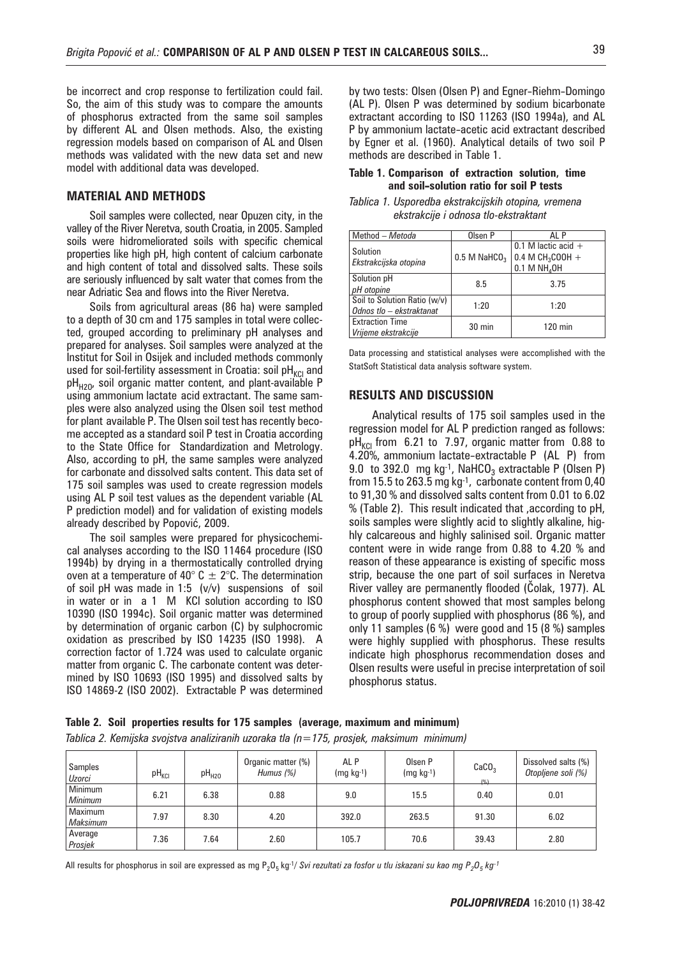be incorrect and crop response to fertilization could fail. So, the aim of this study was to compare the amounts of phosphorus extracted from the same soil samples by different AL and Olsen methods. Also, the existing regression models based on comparison of AL and Olsen methods was validated with the new data set and new model with additional data was developed.

# **MATERIAL AND METHODS**

Soil samples were collected, near Opuzen city, in the valley of the River Neretva, south Croatia, in 2005. Sampled soils were hidromeliorated soils with specific chemical properties like high pH, high content of calcium carbonate and high content of total and dissolved salts. These soils are seriously influenced by salt water that comes from the near Adriatic Sea and flows into the River Neretva.

Soils from agricultural areas (86 ha) were sampled to a depth of 30 cm and 175 samples in total were collected, grouped according to preliminary pH analyses and prepared for analyses. Soil samples were analyzed at the Institut for Soil in Osijek and included methods commonly used for soil-fertility assessment in Croatia: soil  $pH_{KCl}$  and  $pH_{H20}$ , soil organic matter content, and plant-available P using ammonium lactate acid extractant. The same samples were also analyzed using the Olsen soil test method for plant available P. The Olsen soil test has recently become accepted as a standard soil P test in Croatia according to the State Office for Standardization and Metrology. Also, according to pH, the same samples were analyzed for carbonate and dissolved salts content. This data set of 175 soil samples was used to create regression models using AL P soil test values as the dependent variable (AL P prediction model) and for validation of existing models already described by Popović, 2009.

The soil samples were prepared for physicochemical analyses according to the ISO 11464 procedure (ISO 1994b) by drying in a thermostatically controlled drying oven at a temperature of 40 $^{\circ}$  C  $\pm$  2 $^{\circ}$ C. The determination of soil pH was made in 1:5 (v/v) suspensions of soil in water or in a 1 M KCl solution according to ISO 10390 (ISO 1994c). Soil organic matter was determined by determination of organic carbon (C) by sulphocromic oxidation as prescribed by ISO 14235 (ISO 1998). A correction factor of 1.724 was used to calculate organic matter from organic C. The carbonate content was determined by ISO 10693 (ISO 1995) and dissolved salts by ISO 14869-2 (ISO 2002). Extractable P was determined by two tests: Olsen (Olsen P) and Egner-Riehm-Domingo (AL P). Olsen P was determined by sodium bicarbonate extractant according to ISO 11263 (ISO 1994a), and AL P by ammonium lactate-acetic acid extractant described by Egner et al. (1960). Analytical details of two soil P methods are described in Table 1.

#### **Table 1. Comparison of extraction solution, time and soil-solution ratio for soil P tests**

| Tablica 1. Usporedba ekstrakcijskih otopina, vremena |  |  |
|------------------------------------------------------|--|--|
| ekstrakcije i odnosa tlo-ekstraktant                 |  |  |

| Method - Metoda                                          | Olsen P                    | AI P                                                                      |  |
|----------------------------------------------------------|----------------------------|---------------------------------------------------------------------------|--|
| Solution<br>Ekstrakcijska otopina                        | $0.5$ M NaHCO <sub>3</sub> | 0.1 M lactic acid $+$<br>0.4 M $CH_3COOH +$<br>$0.1$ M NH <sub>4</sub> OH |  |
| Solution pH<br>pH otopine                                | 8.5                        | 3.75                                                                      |  |
| Soil to Solution Ratio (w/v)<br>Odnos tlo - ekstraktanat | 1:20                       | 1:20                                                                      |  |
| <b>Extraction Time</b><br>Vrijeme ekstrakcije            | 30 min                     | $120$ min                                                                 |  |

Data processing and statistical analyses were accomplished with the StatSoft Statistical data analysis software system.

#### **RESULTS AND DISCUSSION**

Analytical results of 175 soil samples used in the regression model for AL P prediction ranged as follows:  $pH_{KCl}$  from 6.21 to 7.97, organic matter from 0.88 to 4.20%, ammonium lactate-extractable P (AL P) from 9.0 to 392.0 mg kg $^{-1}$ , NaHCO<sub>3</sub> extractable P (Olsen P) from 15.5 to 263.5 mg kg-1, carbonate content from 0,40 to 91,30 % and dissolved salts content from 0.01 to 6.02 % (Table 2). This result indicated that ,according to pH, soils samples were slightly acid to slightly alkaline, highly calcareous and highly salinised soil. Organic matter content were in wide range from 0.88 to 4.20 % and reason of these appearance is existing of specific moss strip, because the one part of soil surfaces in Neretva River valley are permanently flooded (Čolak, 1977). AL phosphorus content showed that most samples belong to group of poorly supplied with phosphorus (86 %), and only 11 samples (6 %) were good and 15 (8 %) samples were highly supplied with phosphorus. These results indicate high phosphorus recommendation doses and Olsen results were useful in precise interpretation of soil phosphorus status.

**Table 2. Soil properties results for 175 samples (average, maximum and minimum)**

*Tablica 2. Kemijska svojstva analiziranih uzoraka tla (n=175, prosjek, maksimum minimum)*

| Samples<br>Uzorci         | $pH_{KCl}$ | pH <sub>H20</sub> | Organic matter (%)<br>Humus (%) | AL P<br>$(mq kq^{-1})$ | Olsen P<br>$(mg kg-1)$ | CaCO <sub>3</sub><br>(% ) | Dissolved salts (%)<br>Otopljene soli (%) |
|---------------------------|------------|-------------------|---------------------------------|------------------------|------------------------|---------------------------|-------------------------------------------|
| Minimum<br><b>Minimum</b> | 6.21       | 6.38              | 0.88                            | 9.0                    | 15.5                   | 0.40                      | 0.01                                      |
| Maximum<br>Maksimum       | 7.97       | 8.30              | 4.20                            | 392.0                  | 263.5                  | 91.30                     | 6.02                                      |
| Average<br>Prosjek        | 7.36       | 7.64              | 2.60                            | 105.7                  | 70.6                   | 39.43                     | 2.80                                      |

All results for phosphorus in soil are expressed as mg P<sub>2</sub>O<sub>5</sub> kg-<sup>1</sup>/ *Svi rezultati za fosfor u tlu iskazani su kao mg P<sub>2</sub>O<sub>5</sub> kg<sup>-1</sup>*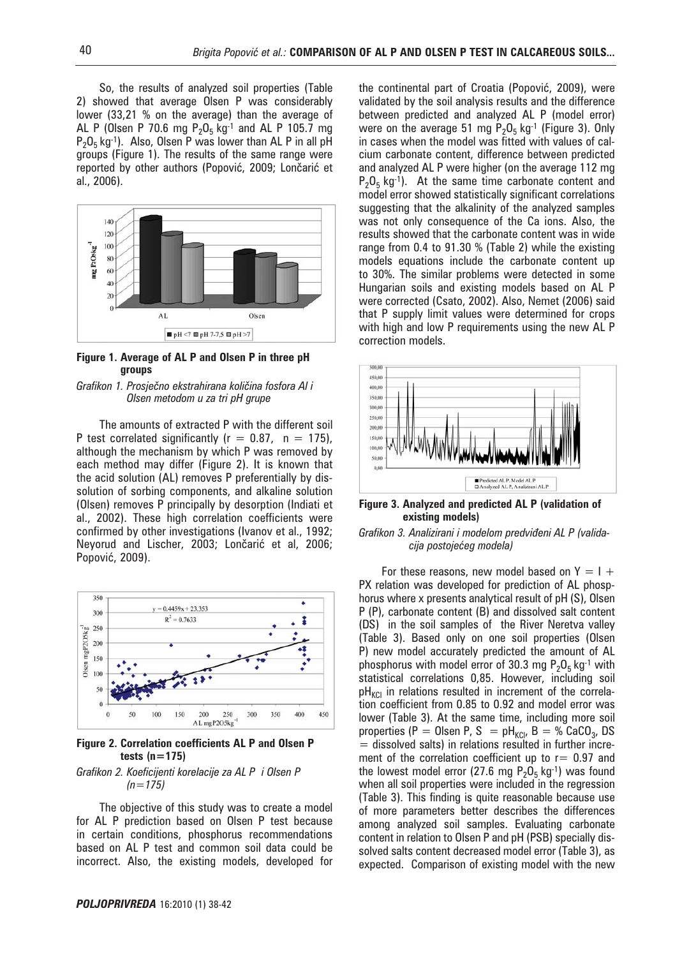So, the results of analyzed soil properties (Table 2) showed that average Olsen P was considerably lower (33,21 % on the average) than the average of AL P (Olsen P 70.6 mg  $P_2O_5$  kg<sup>-1</sup> and AL P 105.7 mg  $P_2O_5$  kg<sup>-1</sup>). Also, Olsen P was lower than AL P in all pH groups (Figure 1). The results of the same range were reported by other authors (Popović, 2009; Lončarić et al., 2006).



**Figure 1. Average of AL P and Olsen P in three pH groups**

#### *Grafikon 1. Prosje~no ekstrahirana koli~ina fosfora Al i Olsen metodom u za tri pH grupe*

The amounts of extracted P with the different soil P test correlated significantly ( $r = 0.87$ ,  $n = 175$ ), although the mechanism by which P was removed by each method may differ (Figure 2). It is known that the acid solution (AL) removes P preferentially by dissolution of sorbing components, and alkaline solution (Olsen) removes P principally by desorption (Indiati et al., 2002). These high correlation coefficients were confirmed by other investigations (Ivanov et al., 1992; Neyorud and Lischer, 2003; Lončarić et al, 2006; Popović, 2009).



**Figure 2. Correlation coefficients AL P and Olsen P tests (n=175)**

#### *Grafikon 2. Koeficijenti korelacije za AL P i Olsen P (n=175)*

The objective of this study was to create a model for AL P prediction based on Olsen P test because in certain conditions, phosphorus recommendations based on AL P test and common soil data could be incorrect. Also, the existing models, developed for

the continental part of Croatia (Popović, 2009), were validated by the soil analysis results and the difference between predicted and analyzed AL P (model error) were on the average 51 mg  $P_2O_5$  kg<sup>-1</sup> (Figure 3). Only in cases when the model was fitted with values of calcium carbonate content, difference between predicted and analyzed AL P were higher (on the average 112 mg  $P_2O_5$  kg<sup>-1</sup>). At the same time carbonate content and model error showed statistically significant correlations suggesting that the alkalinity of the analyzed samples was not only consequence of the Ca ions. Also, the results showed that the carbonate content was in wide range from 0.4 to 91.30 % (Table 2) while the existing models equations include the carbonate content up to 30%. The similar problems were detected in some Hungarian soils and existing models based on AL P were corrected (Csato, 2002). Also, Nemet (2006) said that P supply limit values were determined for crops with high and low P requirements using the new AL P correction models.



**Figure 3. Analyzed and predicted AL P (validation of existing models)**

#### Grafikon 3. Analizirani i modelom predviđeni AL P (valida $cija postojećeg modela)$

For these reasons, new model based on  $Y = I +$ PX relation was developed for prediction of AL phosphorus where x presents analytical result of pH (S), Olsen P (P), carbonate content (B) and dissolved salt content (DS) in the soil samples of the River Neretva valley (Table 3). Based only on one soil properties (Olsen P) new model accurately predicted the amount of AL phosphorus with model error of 30.3 mg  $P_2O_5$  kg<sup>-1</sup> with statistical correlations 0,85. However, including soil  $pH_{\text{KCl}}$  in relations resulted in increment of the correlation coefficient from 0.85 to 0.92 and model error was lower (Table 3). At the same time, including more soil properties (P = 0lsen P, S =  $pH_{KCl}$ , B = % CaCO<sub>3</sub>, DS  $=$  dissolved salts) in relations resulted in further increment of the correlation coefficient up to  $r= 0.97$  and the lowest model error (27.6 mg  $P_2O_5$  kg-1) was found when all soil properties were included in the regression (Table 3). This finding is quite reasonable because use of more parameters better describes the differences among analyzed soil samples. Evaluating carbonate content in relation to Olsen P and pH (PSB) specially dissolved salts content decreased model error (Table 3), as expected. Comparison of existing model with the new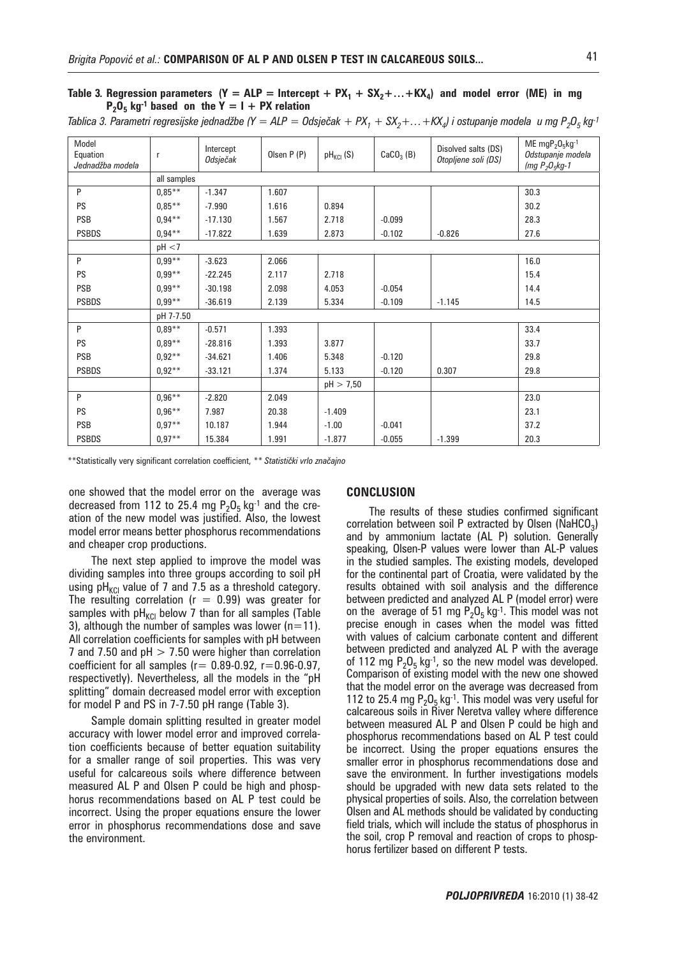### Table 3. Regression parameters  $(Y = ALP = Intercept + PX_1 + SX_2 + ... + KX_4)$  and model error (ME) in mg  $P_2O_5$  kg<sup>-1</sup> based on the Y = I + PX relation

| Model<br>Equation<br>Jednadžba modela | $\mathsf{r}$ | Intercept<br>Odsječak | Olsen P (P) | $pH_{KCl}$ (S) | $CaCO3$ (B) | Disolved salts (DS)<br>Otopljene soli (DS) | ME $mgP_2O_5kg^{-1}$<br>Odstupanje modela<br>(mg $P_2O_5kg-1$ |  |
|---------------------------------------|--------------|-----------------------|-------------|----------------|-------------|--------------------------------------------|---------------------------------------------------------------|--|
|                                       |              | all samples           |             |                |             |                                            |                                                               |  |
| P                                     | $0.85***$    | $-1.347$              | 1.607       |                |             |                                            | 30.3                                                          |  |
| <b>PS</b>                             | $0.85***$    | $-7.990$              | 1.616       | 0.894          |             |                                            | 30.2                                                          |  |
| <b>PSB</b>                            | $0.94***$    | $-17.130$             | 1.567       | 2.718          | $-0.099$    |                                            | 28.3                                                          |  |
| <b>PSBDS</b>                          | $0.94***$    | $-17.822$             | 1.639       | 2.873          | $-0.102$    | $-0.826$                                   | 27.6                                                          |  |
|                                       | pH < 7       |                       |             |                |             |                                            |                                                               |  |
| P                                     | $0,99**$     | $-3.623$              | 2.066       |                |             |                                            | 16.0                                                          |  |
| <b>PS</b>                             | $0.99**$     | $-22.245$             | 2.117       | 2.718          |             |                                            | 15.4                                                          |  |
| <b>PSB</b>                            | $0,99***$    | $-30.198$             | 2.098       | 4.053          | $-0.054$    |                                            | 14.4                                                          |  |
| <b>PSBDS</b>                          | $0.99**$     | $-36.619$             | 2.139       | 5.334          | $-0.109$    | $-1.145$                                   | 14.5                                                          |  |
|                                       | pH 7-7.50    |                       |             |                |             |                                            |                                                               |  |
| P                                     | $0,89**$     | $-0.571$              | 1.393       |                |             |                                            | 33.4                                                          |  |
| <b>PS</b>                             | $0,89**$     | $-28.816$             | 1.393       | 3.877          |             |                                            | 33.7                                                          |  |
| <b>PSB</b>                            | $0,92**$     | $-34.621$             | 1.406       | 5.348          | $-0.120$    |                                            | 29.8                                                          |  |
| <b>PSBDS</b>                          | $0.92**$     | $-33.121$             | 1.374       | 5.133          | $-0.120$    | 0.307                                      | 29.8                                                          |  |
|                                       |              |                       |             | pH > 7,50      |             |                                            |                                                               |  |
| P                                     | $0.96***$    | $-2.820$              | 2.049       |                |             |                                            | 23.0                                                          |  |
| <b>PS</b>                             | $0.96***$    | 7.987                 | 20.38       | $-1.409$       |             |                                            | 23.1                                                          |  |
| <b>PSB</b>                            | $0.97**$     | 10.187                | 1.944       | $-1.00$        | $-0.041$    |                                            | 37.2                                                          |  |
| <b>PSBDS</b>                          | $0.97**$     | 15.384                | 1.991       | $-1.877$       | $-0.055$    | $-1.399$                                   | 20.3                                                          |  |

*Tablica 3. Parametri regresijske jednadžbe (Y = ALP = Odsječak + PX<sub>1</sub> + SX<sub>2</sub>+... +KX<sub>4</sub>) i ostupanje modela u mg P<sub>2</sub>O<sub>5</sub> kg<sup>-1</sup>* 

\*\*Statistically very significant correlation coefficient, \*\* Statistički vrlo značajno

one showed that the model error on the average was decreased from 112 to 25.4 mg  $P_2O_5$  kg<sup>-1</sup> and the creation of the new model was justified. Also, the lowest model error means better phosphorus recommendations and cheaper crop productions.

The next step applied to improve the model was dividing samples into three groups according to soil pH using  $pH_{\text{KCI}}$  value of 7 and 7.5 as a threshold category. The resulting correlation ( $r = 0.99$ ) was greater for samples with  $pH_{\text{KCI}}$  below 7 than for all samples (Table 3), although the number of samples was lower ( $n=11$ ). All correlation coefficients for samples with pH between 7 and 7.50 and  $pH > 7.50$  were higher than correlation coefficient for all samples ( $r= 0.89-0.92$ ,  $r=0.96-0.97$ , respectivetly). Nevertheless, all the models in the "pH splitting" domain decreased model error with exception for model P and PS in 7-7.50 pH range (Table 3).

Sample domain splitting resulted in greater model accuracy with lower model error and improved correlation coefficients because of better equation suitability for a smaller range of soil properties. This was very useful for calcareous soils where difference between measured AL P and Olsen P could be high and phosphorus recommendations based on AL P test could be incorrect. Using the proper equations ensure the lower error in phosphorus recommendations dose and save the environment.

#### **CONCLUSION**

The results of these studies confirmed significant correlation between soil P extracted by Olsen ( $N$ aHCO<sub>3</sub>) and by ammonium lactate (AL P) solution. Generally speaking, Olsen-P values were lower than AL-P values in the studied samples. The existing models, developed for the continental part of Croatia, were validated by the results obtained with soil analysis and the difference between predicted and analyzed AL P (model error) were on the average of 51 mg  $P_2O_5$  kg<sup>-1</sup>. This model was not precise enough in cases when the model was fitted with values of calcium carbonate content and different between predicted and analyzed AL P with the average of 112 mg  $P_2O_5$  kg<sup>-1</sup>, so the new model was developed. Comparison of existing model with the new one showed that the model error on the average was decreased from 112 to 25.4 mg  $P_2O_5$  kg<sup>-1</sup>. This model was very useful for calcareous soils in River Neretva valley where difference between measured AL P and Olsen P could be high and phosphorus recommendations based on AL P test could be incorrect. Using the proper equations ensures the smaller error in phosphorus recommendations dose and save the environment. In further investigations models should be upgraded with new data sets related to the physical properties of soils. Also, the correlation between Olsen and AL methods should be validated by conducting field trials, which will include the status of phosphorus in the soil, crop P removal and reaction of crops to phosphorus fertilizer based on different P tests.